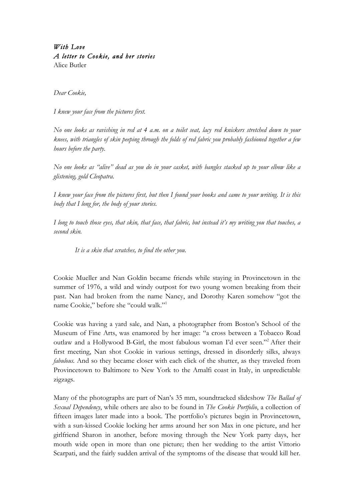## *With Love A letter to Cookie, and her stories*  Alice Butler

*Dear Cookie,*

*I knew your face from the pictures first.*

*No one looks as ravishing in red at 4 a.m. on a toilet seat, lacy red knickers stretched down to your knees, with triangles of skin peeping through the folds of red fabric you probably fashioned together a few hours before the party.*

*No one looks as "alive" dead as you do in your casket, with bangles stacked up to your elbow like a glistening, gold Cleopatra.*

*I knew your face from the pictures first, but then I found your books and came to your writing. It is this body that I long for, the body of your stories.*

*I long to touch those eyes, that skin, that face, that fabric, but instead it's my writing you that touches, a second skin.*

*It is a skin that scratches, to find the other you.* 

Cookie Mueller and Nan Goldin became friends while staying in Provincetown in the summer of 1976, a wild and windy outpost for two young women breaking from their past. Nan had broken from the name Nancy, and Dorothy Karen somehow "got the name Cookie," before she "could walk."1

Cookie was having a yard sale, and Nan, a photographer from Boston's School of the Museum of Fine Arts, was enamored by her image: "a cross between a Tobacco Road outlaw and a Hollywood B-Girl, the most fabulous woman I'd ever seen."2 After their first meeting, Nan shot Cookie in various settings, dressed in disorderly silks, always *fabulous.* And so they became closer with each click of the shutter, as they traveled from Provincetown to Baltimore to New York to the Amalfi coast in Italy, in unpredictable zigzags.

Many of the photographs are part of Nan's 35 mm, soundtracked slideshow *The Ballad of Sexual Dependency*, while others are also to be found in *The Cookie Portfolio*, a collection of fifteen images later made into a book. The portfolio's pictures begin in Provincetown, with a sun-kissed Cookie locking her arms around her son Max in one picture, and her girlfriend Sharon in another, before moving through the New York party days, her mouth wide open in more than one picture; then her wedding to the artist Vittorio Scarpati, and the fairly sudden arrival of the symptoms of the disease that would kill her.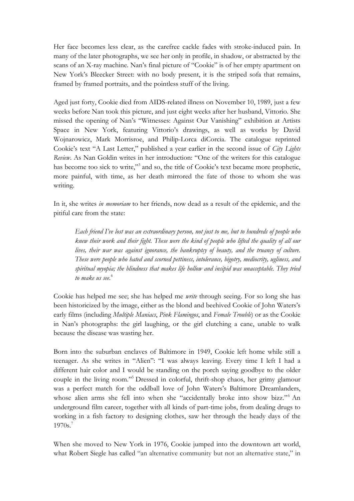Her face becomes less clear, as the carefree cackle fades with stroke-induced pain. In many of the later photographs, we see her only in profile, in shadow, or abstracted by the scans of an X-ray machine. Nan's final picture of "Cookie" is of her empty apartment on New York's Bleecker Street: with no body present, it is the striped sofa that remains, framed by framed portraits, and the pointless stuff of the living.

Aged just forty, Cookie died from AIDS-related illness on November 10, 1989, just a few weeks before Nan took this picture, and just eight weeks after her husband, Vittorio. She missed the opening of Nan's "Witnesses: Against Our Vanishing" exhibition at Artists Space in New York, featuring Vittorio's drawings, as well as works by David Wojnarowicz, Mark Morrisroe, and Philip-Lorca diCorcia. The catalogue reprinted Cookie's text "A Last Letter," published a year earlier in the second issue of *City Lights Review*. As Nan Goldin writes in her introduction: "One of the writers for this catalogue has become too sick to write,"<sup>3</sup> and so, the title of Cookie's text became more prophetic, more painful, with time, as her death mirrored the fate of those to whom she was writing.

In it, she writes *in memoriam* to her friends, now dead as a result of the epidemic, and the pitiful care from the state:

*Each friend I've lost was an extraordinary person, not just to me, but to hundreds of people who knew their work and their fight. These were the kind of people who lifted the quality of all our lives, their war was against ignorance, the bankruptcy of beauty, and the truancy of culture. These were people who hated and scorned pettiness, intolerance, bigotry, mediocrity, ugliness, and spiritual myopia; the blindness that makes life hollow and insipid was unacceptable. They tried to make us see.*<sup>4</sup>

Cookie has helped me see; she has helped me *write* through seeing. For so long she has been historicized by the image, either as the blond and beehived Cookie of John Waters's early films (including *Multiple Maniacs*, *Pink Flamingos*, and *Female Trouble*) or as the Cookie in Nan's photographs: the girl laughing, or the girl clutching a cane, unable to walk because the disease was wasting her.

Born into the suburban enclaves of Baltimore in 1949, Cookie left home while still a teenager. As she writes in "Alien": "I was always leaving. Every time I left I had a different hair color and I would be standing on the porch saying goodbye to the older couple in the living room."5 Dressed in colorful, thrift-shop chaos, her grimy glamour was a perfect match for the oddball love of John Waters's Baltimore Dreamlanders, whose alien arms she fell into when she "accidentally broke into show bizz."<sup>6</sup> An underground film career, together with all kinds of part-time jobs, from dealing drugs to working in a fish factory to designing clothes, saw her through the heady days of the 1970s. 7

When she moved to New York in 1976, Cookie jumped into the downtown art world, what Robert Siegle has called "an alternative community but not an alternative state," in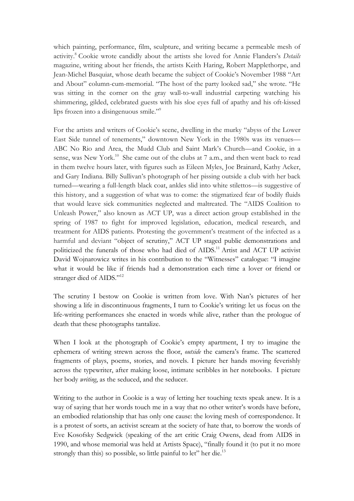which painting, performance, film, sculpture, and writing became a permeable mesh of activity.8 Cookie wrote candidly about the artists she loved for Annie Flanders's *Details*  magazine, writing about her friends, the artists Keith Haring, Robert Mapplethorpe, and Jean-Michel Basquiat, whose death became the subject of Cookie's November 1988 "Art and About" column-cum-memorial. "The host of the party looked sad," she wrote. "He was sitting in the corner on the gray wall-to-wall industrial carpeting watching his shimmering, gilded, celebrated guests with his sloe eyes full of apathy and his oft-kissed lips frozen into a disingenuous smile."<sup>9</sup>

For the artists and writers of Cookie's scene, dwelling in the murky "abyss of the Lower East Side tunnel of tenements," downtown New York in the 1980s was its venues— ABC No Rio and Area, the Mudd Club and Saint Mark's Church—and Cookie, in a sense, was New York.<sup>10</sup> She came out of the clubs at 7 a.m., and then went back to read in them twelve hours later, with figures such as Eileen Myles, Joe Brainard, Kathy Acker, and Gary Indiana. Billy Sullivan's photograph of her pissing outside a club with her back turned—wearing a full-length black coat, ankles slid into white stilettos—is suggestive of this history, and a suggestion of what was to come: the stigmatized fear of bodily fluids that would leave sick communities neglected and maltreated. The "AIDS Coalition to Unleash Power," also known as ACT UP, was a direct action group established in the spring of 1987 to fight for improved legislation, education, medical research, and treatment for AIDS patients. Protesting the government's treatment of the infected as a harmful and deviant "object of scrutiny," ACT UP staged public demonstrations and politicized the funerals of those who had died of AIDS.<sup>11</sup> Artist and ACT UP activist David Wojnarowicz writes in his contribution to the "Witnesses" catalogue: "I imagine what it would be like if friends had a demonstration each time a lover or friend or stranger died of AIDS."<sup>12</sup>

The scrutiny I bestow on Cookie is written from love. With Nan's pictures of her showing a life in discontinuous fragments, I turn to Cookie's writing: let us focus on the life-writing performances she enacted in words while alive, rather than the prologue of death that these photographs tantalize.

When I look at the photograph of Cookie's empty apartment, I try to imagine the ephemera of writing strewn across the floor, *outside* the camera's frame. The scattered fragments of plays, poems, stories, and novels. I picture her hands moving feverishly across the typewriter, after making loose, intimate scribbles in her notebooks. I picture her body *writing*, as the seduced, and the seducer.

Writing to the author in Cookie is a way of letting her touching texts speak anew. It is a way of saying that her words touch me in a way that no other writer's words have before, an embodied relationship that has only one cause: the loving mesh of correspondence. It is a protest of sorts, an activist scream at the society of hate that, to borrow the words of Eve Kosofsky Sedgwick (speaking of the art critic Craig Owens, dead from AIDS in 1990, and whose memorial was held at Artists Space), "finally found it (to put it no more strongly than this) so possible, so little painful to let" her die.<sup>13</sup>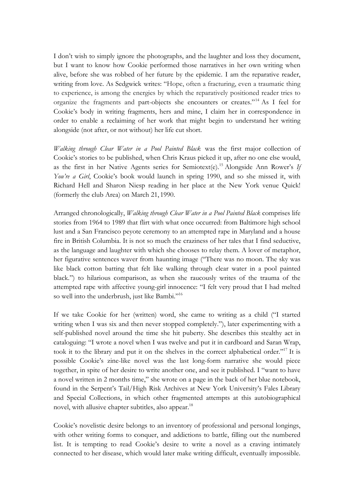I don't wish to simply ignore the photographs, and the laughter and loss they document, but I want to know how Cookie performed those narratives in her own writing when alive, before she was robbed of her future by the epidemic. I am the reparative reader, writing from love. As Sedgwick writes: "Hope, often a fracturing, even a traumatic thing to experience, is among the energies by which the reparatively positioned reader tries to organize the fragments and part-objects she encounters or creates."14 As I feel for Cookie's body in writing fragments, hers and mine, I claim her in correspondence in order to enable a reclaiming of her work that might begin to understand her writing alongside (not after, or not without) her life cut short.

*Walking through Clear Water in a Pool Painted Black* was the first major collection of Cookie's stories to be published, when Chris Kraus picked it up, after no one else would, as the first in her Native Agents series for Semiotext(e).15 Alongside Ann Rower's *If You're a Girl*, Cookie's book would launch in spring 1990, and so she missed it, with Richard Hell and Sharon Niesp reading in her place at the New York venue Quick! (formerly the club Area) on March 21, 1990.

Arranged chronologically, *Walking through Clear Water in a Pool Painted Black* comprises life stories from 1964 to 1989 that flirt with what once occurred: from Baltimore high school lust and a San Francisco peyote ceremony to an attempted rape in Maryland and a house fire in British Columbia. It is not so much the craziness of her tales that I find seductive, as the language and laughter with which she chooses to relay them. A lover of metaphor, her figurative sentences waver from haunting image ("There was no moon. The sky was like black cotton batting that felt like walking through clear water in a pool painted black.") to hilarious comparison, as when she raucously writes of the trauma of the attempted rape with affective young-girl innocence: "I felt very proud that I had melted so well into the underbrush, just like Bambi."16

If we take Cookie for her (written) word, she came to writing as a child ("I started writing when I was six and then never stopped completely."), later experimenting with a self-published novel around the time she hit puberty. She describes this stealthy act in cataloguing: "I wrote a novel when I was twelve and put it in cardboard and Saran Wrap, took it to the library and put it on the shelves in the correct alphabetical order."17 It is possible Cookie's zine-like novel was the last long-form narrative she would piece together, in spite of her desire to write another one, and see it published. I "want to have a novel written in 2 months time," she wrote on a page in the back of her blue notebook, found in the Serpent's Tail/High Risk Archives at New York University's Fales Library and Special Collections, in which other fragmented attempts at this autobiographical novel, with allusive chapter subtitles, also appear.<sup>18</sup>

Cookie's novelistic desire belongs to an inventory of professional and personal longings, with other writing forms to conquer, and addictions to battle, filling out the numbered list. It is tempting to read Cookie's desire to write a novel as a craving intimately connected to her disease, which would later make writing difficult, eventually impossible.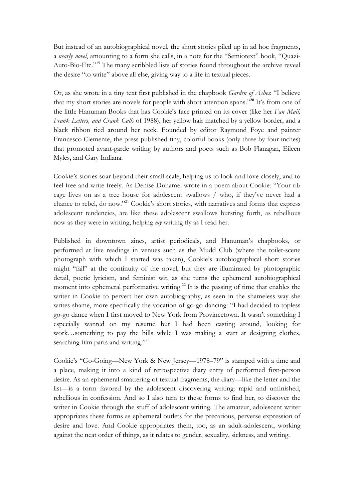But instead of an autobiographical novel, the short stories piled up in ad hoc fragments**,**  a *nearly novel*, amounting to a form she calls, in a note for the "Semiotext" book, "Quazi-Auto-Bio-Etc."19 The many scribbled lists of stories found throughout the archive reveal the desire "to write" above all else, giving way to a life in textual pieces.

Or, as she wrote in a tiny text first published in the chapbook *Garden of Ashes*: "I believe that my short stories are novels for people with short attention spans."**<sup>20</sup>** It's from one of the little Hanuman Books that has Cookie's face printed on its cover (like her *Fan Mail, Frank Letters, and Crank Calls* of 1988), her yellow hair matched by a yellow border, and a black ribbon tied around her neck. Founded by editor Raymond Foye and painter Francesco Clemente, the press published tiny, colorful books (only three by four inches) that promoted avant-garde writing by authors and poets such as Bob Flanagan, Eileen Myles, and Gary Indiana.

Cookie's stories soar beyond their small scale, helping us to look and love closely, and to feel free and write freely. As Denise Duhamel wrote in a poem about Cookie: "Your rib cage lives on as a tree house for adolescent swallows / who, if they've never had a chance to rebel, do now."21 Cookie's short stories, with narratives and forms that express adolescent tendencies, are like these adolescent swallows bursting forth, as rebellious now as they were in writing, helping *my* writing fly as I read her.

Published in downtown zines, artist periodicals, and Hanuman's chapbooks, or performed at live readings in venues such as the Mudd Club (where the toilet-scene photograph with which I started was taken), Cookie's autobiographical short stories might "fail" at the continuity of the novel, but they are illuminated by photographic detail, poetic lyricism, and feminist wit, as she turns the ephemeral autobiographical moment into ephemeral performative writing.<sup>22</sup> It is the passing of time that enables the writer in Cookie to pervert her own autobiography, as seen in the shameless way she writes shame, more specifically the vocation of go-go dancing: "I had decided to topless go-go dance when I first moved to New York from Provincetown. It wasn't something I especially wanted on my resume but I had been casting around, looking for work…something to pay the bills while I was making a start at designing clothes, searching film parts and writing."<sup>23</sup>

Cookie's "Go-Going—New York & New Jersey—1978–79" is stamped with a time and a place, making it into a kind of retrospective diary entry of performed first-person desire. As an ephemeral smattering of textual fragments, the diary—like the letter and the list—is a form favored by the adolescent discovering writing: rapid and unfinished, rebellious in confession. And so I also turn to these forms to find her, to discover the writer in Cookie through the stuff of adolescent writing. The amateur, adolescent writer appropriates these forms as ephemeral outlets for the precarious, perverse expression of desire and love. And Cookie appropriates them, too, as an adult-adolescent, working against the neat order of things, as it relates to gender, sexuality, sickness, and writing.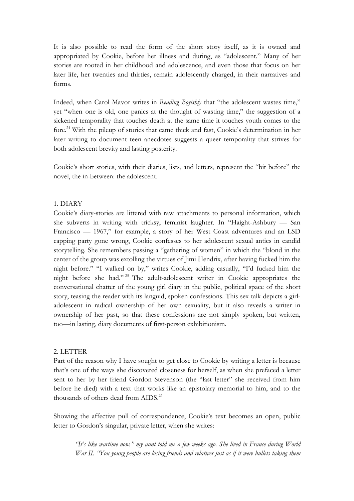It is also possible to read the form of the short story itself, as it is owned and appropriated by Cookie, before her illness and during, as "adolescent." Many of her stories are rooted in her childhood and adolescence, and even those that focus on her later life, her twenties and thirties, remain adolescently charged, in their narratives and forms.

Indeed, when Carol Mavor writes in *Reading Boyishly* that "the adolescent wastes time," yet "when one is old, one panics at the thought of wasting time," the suggestion of a sickened temporality that touches death at the same time it touches youth comes to the fore.24 With the pileup of stories that came thick and fast, Cookie's determination in her later writing to document teen anecdotes suggests a queer temporality that strives for both adolescent brevity and lasting posterity.

Cookie's short stories, with their diaries, lists, and letters, represent the "bit before" the novel, the in-between: the adolescent.

## 1. DIARY

Cookie's diary-stories are littered with raw attachments to personal information, which she subverts in writing with tricksy, feminist laughter. In "Haight-Ashbury — San Francisco — 1967," for example, a story of her West Coast adventures and an LSD capping party gone wrong, Cookie confesses to her adolescent sexual antics in candid storytelling. She remembers passing a "gathering of women" in which the "blond in the center of the group was extolling the virtues of Jimi Hendrix, after having fucked him the night before." "I walked on by," writes Cookie, adding casually, "I'd fucked him the night before she had." <sup>25</sup> The adult-adolescent writer in Cookie appropriates the conversational chatter of the young girl diary in the public, political space of the short story, teasing the reader with its languid, spoken confessions. This sex talk depicts a girladolescent in radical ownership of her own sexuality, but it also reveals a writer in ownership of her past, so that these confessions are not simply spoken, but written, too—in lasting, diary documents of first-person exhibitionism.

## 2. LETTER

Part of the reason why I have sought to get close to Cookie by writing a letter is because that's one of the ways she discovered closeness for herself, as when she prefaced a letter sent to her by her friend Gordon Stevenson (the "last letter" she received from him before he died) with a text that works like an epistolary memorial to him, and to the thousands of others dead from AIDS.<sup>26</sup>

Showing the affective pull of correspondence, Cookie's text becomes an open, public letter to Gordon's singular, private letter, when she writes:

*"It's like wartime now," my aunt told me a few weeks ago. She lived in France during World War II. "You young people are losing friends and relatives just as if it were bullets taking them*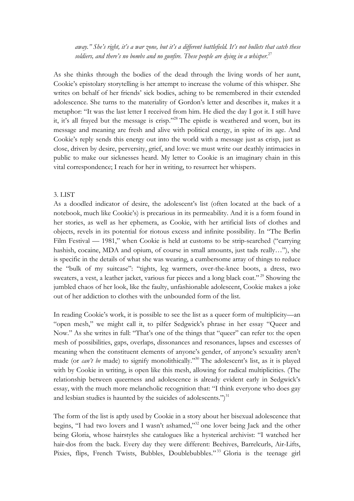*away." She's right, it's a war zone, but it's a different battlefield. It's not bullets that catch these soldiers, and there's no bombs and no gunfire. These people are dying in a whisper.* 27

As she thinks through the bodies of the dead through the living words of her aunt, Cookie's epistolary storytelling is her attempt to increase the volume of this whisper. She writes on behalf of her friends' sick bodies, aching to be remembered in their extended adolescence. She turns to the materiality of Gordon's letter and describes it, makes it a metaphor: "It was the last letter I received from him. He died the day I got it. I still have it, it's all frayed but the message is crisp."28 The epistle is weathered and worn, but its message and meaning are fresh and alive with political energy, in spite of its age. And Cookie's reply sends this energy out into the world with a message just as crisp, just as close, driven by desire, perversity, grief, and love: we must write our deathly intimacies in public to make our sicknesses heard. My letter to Cookie is an imaginary chain in this vital correspondence; I reach for her in writing, to resurrect her whispers.

## 3. LIST

As a doodled indicator of desire, the adolescent's list (often located at the back of a notebook, much like Cookie's) is precarious in its permeability. And it is a form found in her stories, as well as her ephemera, as Cookie, with her artificial lists of clothes and objects, revels in its potential for riotous excess and infinite possibility. In "The Berlin Film Festival — 1981," when Cookie is held at customs to be strip-searched ("carrying hashish, cocaine, MDA and opium, of course in small amounts, just tads really…"), she is specific in the details of what she was wearing, a cumbersome array of things to reduce the "bulk of my suitcase": "tights, leg warmers, over-the-knee boots, a dress, two sweaters, a vest, a leather jacket, various fur pieces and a long black coat."<sup>29</sup> Showing the jumbled chaos of her look, like the faulty, unfashionable adolescent, Cookie makes a joke out of her addiction to clothes with the unbounded form of the list.

In reading Cookie's work, it is possible to see the list as a queer form of multiplicity—an "open mesh," we might call it, to pilfer Sedgwick's phrase in her essay "Queer and Now." As she writes in full: "That's one of the things that "queer" can refer to: the open mesh of possibilities, gaps, overlaps, dissonances and resonances, lapses and excesses of meaning when the constituent elements of anyone's gender, of anyone's sexuality aren't made (or *can't be* made) to signify monolithically."<sup>30</sup> The adolescent's list, as it is played with by Cookie in writing, is open like this mesh, allowing for radical multiplicities. (The relationship between queerness and adolescence is already evident early in Sedgwick's essay, with the much more melancholic recognition that: "I think everyone who does gay and lesbian studies is haunted by the suicides of adolescents.")<sup>31</sup>

The form of the list is aptly used by Cookie in a story about her bisexual adolescence that begins, "I had two lovers and I wasn't ashamed,"32 one lover being Jack and the other being Gloria, whose hairstyles she catalogues like a hysterical archivist: "I watched her hair-dos from the back. Every day they were different: Beehives, Barrelcurls, Air-Lifts, Pixies, flips, French Twists, Bubbles, Doublebubbles."<sup>33</sup> Gloria is the teenage girl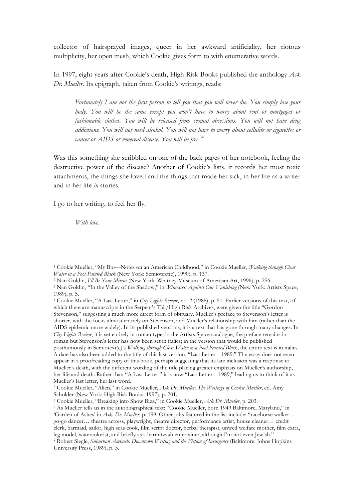collector of hairsprayed images, queer in her awkward artificiality, her riotous multiplicity, her open mesh, which Cookie gives form to with enumerative words.

In 1997, eight years after Cookie's death, High Risk Books published the anthology *Ask Dr. Mueller*. Its epigraph, taken from Cookie's writings, reads:

*Fortunately I am not the first person to tell you that you will never die. You simply lose your body. You will be the same except you won't have to worry about rent or mortgages or fashionable clothes. You will be released from sexual obsessions. You will not have drug addictions. You will not need alcohol. You will not have to worry about cellulite or cigarettes or cancer or AIDS or venereal disease. You will be free.*<sup>34</sup>

Was this something she scribbled on one of the back pages of her notebook, feeling the destructive power of the disease? Another of Cookie's lists, it records her most toxic attachments, the things she loved and the things that made her sick, in her life as a writer and in her life *in* stories.

I go to her writing, to feel her fly.

 

*With love.* 

<sup>1</sup> Cookie Mueller, "My Bio—Notes on an American Childhood," in Cookie Mueller, *Walking through Clear Water in a Pool Painted Black* (New York: Semiotext(e), 1990), p. 137.

<sup>2</sup> Nan Goldin, *I'll Be Your Mirror* (New York: Whitney Museum of American Art, 1996), p. 256. 3 Nan Goldin, "In the Valley of the Shadow," in *Witnesses: Against Our Vanishing* (New York: Artists Space, 1989), p. 5.

<sup>4</sup> Cookie Mueller, "A Last Letter," in *City Lights Review*, no. 2 (1988), p. 51. Earlier versions of this text, of which there are manuscripts in the Serpent's Tail/High Risk Archives, were given the title "Gordon Stevenson," suggesting a much more direct form of obituary. Mueller's preface to Stevenson's letter is shorter, with the focus almost entirely on Stevenson, and Mueller's relationship with him (rather than the AIDS epidemic more widely). In its published versions, it is a text that has gone through many changes. In *City Lights Review*, it is set entirely in roman type; in the Artists Space catalogue, the preface remains in roman but Stevenson's letter has now been set in italics; in the version that would be published posthumously in Semiotext(e)'s *Walking through Clear Water in a Pool Painted Black*, the entire text is in italics. A date has also been added to the title of this last version, "Last Letter—1989." The essay does not even appear in a proofreading copy of this book, perhaps suggesting that its late inclusion was a response to Mueller's death, with the different wording of the title placing greater emphasis on Mueller's authorship, her life and death. Rather than "A Last Letter," it is now "Last Letter—1989," leading us to think of it as Mueller's last letter, her last word.

<sup>5</sup> Cookie Mueller, "Alien," in Cookie Mueller, *Ask Dr. Mueller: The Writings of Cookie Mueller*, ed. Amy Scholder (New York: High Risk Books, 1997), p. 201.<br><sup>6</sup> Cookie Mueller, "Breaking into Show Bizz," in Cookie Mueller, Ask Dr. Mueller, p. 203.

<sup>&</sup>lt;sup>7</sup> As Mueller tells us in the autobiographical text: "Cookie Mueller, born 1949 Baltimore, Maryland," in 'Garden of Ashes' in *Ask. Dr. Mueller*, p. 199. Other jobs featured in the list include: "racehorse walker… go-go dancer… theatre actress, playwright, theatre director, performance artist, house cleaner… credit clerk, barmaid, sailor, high seas cook, film script doctor, herbal therapist, unwed welfare mother, film extra, leg model, watercolorist, and briefly as a barmitzvah entertainer, although I'm not even Jewish." <sup>8</sup> Robert Siegle, *Suburban Ambush: Downtown Writing and the Fiction of Insurgency* (Baltimore: Johns Hopkins

University Press, 1989), p. 3.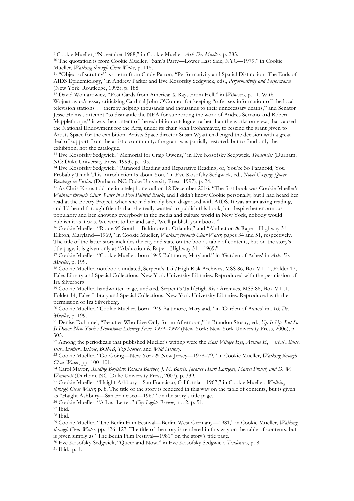<sup>9</sup> Cookie Mueller, "November 1988," in Cookie Mueller, *Ask Dr. Mueller*, p. 285. 10 The quotation is from Cookie Mueller, "Sam's Party—Lower East Side, NYC—1979," in Cookie Mueller, *Walking through Clear Water*, p. 115.<br><sup>11</sup> "Object of scrutiny" is a term from Cindy Patton, "Performativity and Spatial Distinction: The Ends of

AIDS Epidemiology," in Andrew Parker and Eve Kosofsky Sedgwick, eds., *Performativity and Performance*  (New York: Routledge, 1995), p. 188.

<u> 1989 - Andrea Santa Alemania, poeta esperanto-se especial de la propia de la propia de la propia de la propia</u>

<sup>12</sup> David Wojnarowicz, "Post Cards from America: X-Rays From Hell," in *Witnesses*, p. 11. With Wojnarowicz's essay criticizing Cardinal John O'Connor for keeping "safer-sex information off the local television stations … thereby helping thousands and thousands to their unnecessary deaths," and Senator Jesse Helms's attempt "to dismantle the NEA for supporting the work of Andres Serrano and Robert Mapplethorpe," it was the content of the exhibition catalogue, rather than the works on view, that caused the National Endowment for the Arts, under its chair John Frohnmayer, to rescind the grant given to Artists Space for the exhibition. Artists Space director Susan Wyatt challenged the decision with a great deal of support from the artistic community: the grant was partially restored, but to fund only the exhibition, not the catalogue.

<sup>13</sup> Eve Kosofsky Sedgwick, "Memorial for Craig Owens," in Eve Kosofsky Sedgwick*, Tendencies* (Durham, NC: Duke University Press, 1993), p. 105.

<sup>14</sup> Eve Kosofsky Sedgwick, "Paranoid Reading and Reparative Reading; or, You're So Paranoid, You Probably Think This Introduction Is about You," in Eve Kosofsky Sedgwick, ed., *Novel Gazing: Queer Readings in Fiction* (Durham, NC: Duke University Press, 1997), p. 24.<br><sup>15</sup> As Chris Kraus told me in a telephone call on 12 December 2016: "The first book was Cookie Mueller's

*Walking through Clear Water in a Pool Painted Black*, and I didn't know Cookie personally, but I had heard her read at the Poetry Project, when she had already been diagnosed with AIDS. It was an amazing reading, and I'd heard through friends that she really wanted to publish this book, but despite her enormous popularity and her knowing everybody in the media and culture world in New York, nobody would publish it as it was. We went to her and said, 'We'll publish your book.'"

<sup>16</sup> Cookie Mueller, "Route 95 South—Baltimore to Orlando," and "Abduction & Rape—Highway 31 Elkton, Maryland—1969," in Cookie Mueller, *Walking through Clear Water*, pages 34 and 51, respectively. The title of the latter story includes the city and state on the book's table of contents, but on the story's title page, it is given only as "Abduction & Rape—Highway 31—1969."

<sup>17</sup> Cookie Mueller, "Cookie Mueller, born 1949 Baltimore, Maryland," in 'Garden of Ashes' in *Ask. Dr. Mueller*, p. 199.<br><sup>18</sup> Cookie Mueller, notebook, undated, Serpent's Tail/High Risk Archives, MSS 86, Box V.II.1, Folder 17,

Fales Library and Special Collections, New York University Libraries. Reproduced with the permission of Ira Silverberg.

<sup>19</sup> Cookie Mueller, handwritten page, undated, Serpent's Tail/High Risk Archives, MSS 86, Box V.II.1, Folder 14, Fales Library and Special Collections, New York University Libraries. Reproduced with the permission of Ira Silverberg.

<sup>20</sup> Cookie Mueller, "Cookie Mueller, born 1949 Baltimore, Maryland," in 'Garden of Ashes' in *Ask Dr. Mueller*, p. 199.

<sup>21</sup> Denise Duhamel, "Beauties Who Live Only for an Afternoon," in Brandon Stosuy, ed., *Up Is Up, But So Is Down: New York's Downtown Literary Scene, 1974–1992* (New York: New York University Press, 2006), p. 305.

<sup>22</sup> Among the periodicals that published Mueller's writing were the *East Village Eye*, *Avenue E*, *Verbal Abuse*, *Just Another Asshole*, *BOMB*, *Top Stories*, and *Wild History*.

<sup>23</sup> Cookie Mueller, "Go-Going—New York & New Jersey—1978–79," in Cookie Mueller, *Walking through Clear Water*, pp. 100–101.

<sup>24</sup> Carol Mavor, *Reading Boyishly: Roland Barthes, J. M. Barrie, Jacques Henri Lartigue, Marcel Proust, and D. W. Winnicott* (Durham, NC: Duke University Press, 2007), p. 339.

<sup>25</sup> Cookie Mueller, "Haight-Ashbury—San Francisco, California—1967," in Cookie Mueller, *Walking through Clear Water*, p. 8. The title of the story is rendered in this way on the table of contents, but is given as "Haight Ashbury—San Francisco—1967" on the story's title page.

<sup>26</sup> Cookie Mueller, "A Last Letter," *City Lights Review*, no. 2, p. 51.

<sup>27</sup> Ibid.

<sup>28</sup> Ibid.

<sup>29</sup> Cookie Mueller, "The Berlin Film Festival—Berlin, West Germany—1981," in Cookie Mueller, *Walking through Clear Water*, pp. 126–127. The title of the story is rendered in this way on the table of contents, but is given simply as "The Berlin Film Festival—1981" on the story's title page.

<sup>30</sup> Eve Kosofsky Sedgwick, "Queer and Now," in Eve Kosofsky Sedgwick, *Tendencies*, p. 8. 31 Ibid., p. 1.